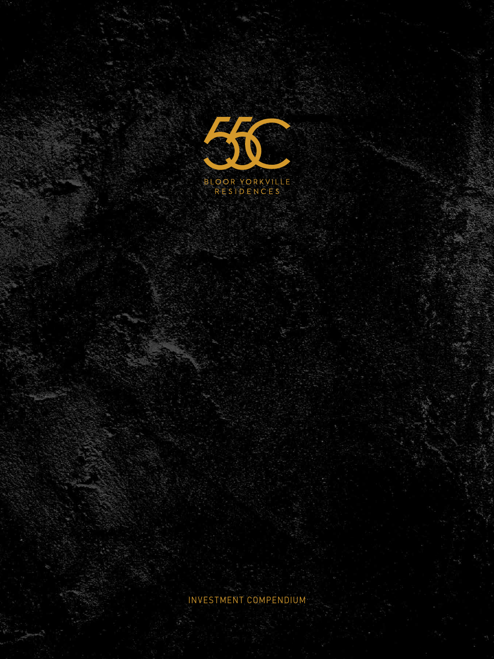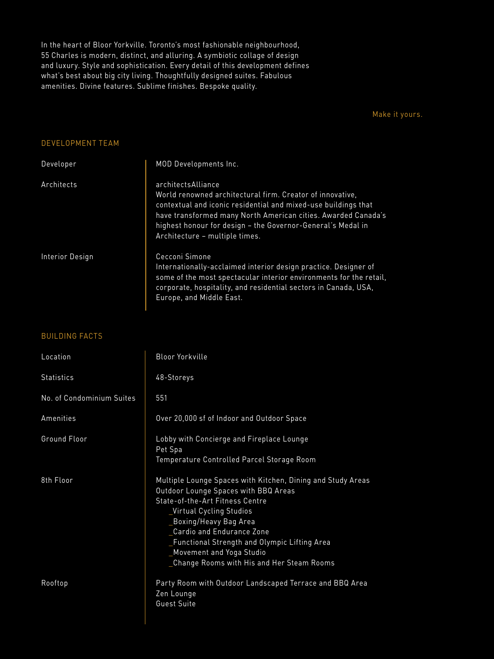In the heart of Bloor Yorkville. Toronto's most fashionable neighbourhood, 55 Charles is modern, distinct, and alluring. A symbiotic collage of design and luxury. Style and sophistication. Every detail of this development defines what's best about big city living. Thoughtfully designed suites. Fabulous amenities. Divine features. Sublime finishes. Bespoke quality.

Make it yours.

### DEVELOPMENT TEAM

| Developer       | MOD Developments Inc.                                                                                                                                                                                                                                                                                               |
|-----------------|---------------------------------------------------------------------------------------------------------------------------------------------------------------------------------------------------------------------------------------------------------------------------------------------------------------------|
| Architects      | architectsAlliance<br>World renowned architectural firm. Creator of innovative,<br>contextual and iconic residential and mixed-use buildings that<br>have transformed many North American cities. Awarded Canada's<br>highest honour for design - the Governor-General's Medal in<br>Architecture - multiple times. |
| Interior Design | Cecconi Simone<br>Internationally-acclaimed interior design practice. Designer of<br>some of the most spectacular interior environments for the retail,<br>corporate, hospitality, and residential sectors in Canada, USA,<br>Europe, and Middle East.                                                              |

### BUILDING FACTS

| Location                  | Bloor Yorkville                                                                                                                                                                                                                                                                                                                                       |
|---------------------------|-------------------------------------------------------------------------------------------------------------------------------------------------------------------------------------------------------------------------------------------------------------------------------------------------------------------------------------------------------|
| <b>Statistics</b>         | 48-Storeys                                                                                                                                                                                                                                                                                                                                            |
| No. of Condominium Suites | 551                                                                                                                                                                                                                                                                                                                                                   |
| Amenities                 | Over 20,000 sf of Indoor and Outdoor Space                                                                                                                                                                                                                                                                                                            |
| Ground Floor              | Lobby with Concierge and Fireplace Lounge<br>Pet Spa<br>Temperature Controlled Parcel Storage Room                                                                                                                                                                                                                                                    |
| 8th Floor                 | Multiple Lounge Spaces with Kitchen, Dining and Study Areas<br>Outdoor Lounge Spaces with BBQ Areas<br>State-of-the-Art Fitness Centre<br>_Virtual Cycling Studios<br>_Boxing/Heavy Bag Area<br>Cardio and Endurance Zone<br>_Functional Strength and Olympic Lifting Area<br>_Movement and Yoga Studio<br>_Change Rooms with His and Her Steam Rooms |
| Rooftop                   | Party Room with Outdoor Landscaped Terrace and BBQ Area<br>Zen Lounge<br><b>Guest Suite</b>                                                                                                                                                                                                                                                           |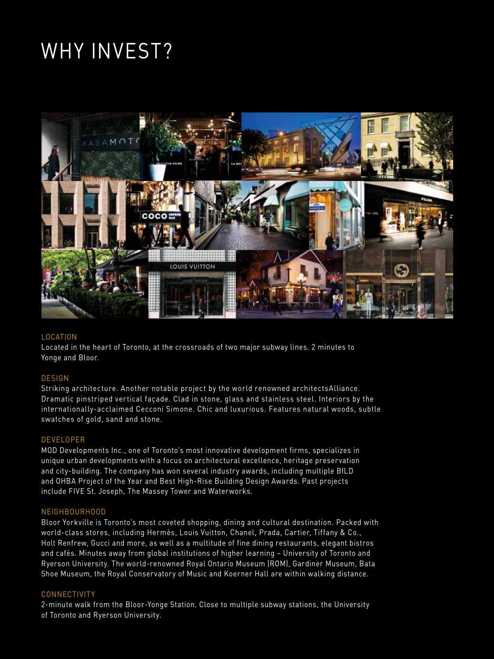## WHY INVEST?



### LOCATION

Located in the heart of Toronto, at the crossroads of two major subway lines. 2 minutes to Yonge and Bloor.

### DESIGN

Striking architecture. Another notable project by the world renowned architectsAlliance. Dramatic pinstriped vertical façade. Clad in stone, glass and stainless steel. Interiors by the internationally-acclaimed Cecconi Simone. Chic and luxurious. Features natural woods, subtle swatches of gold, sand and stone.

### DEVELOPER

MOD Developments Inc., one of Toronto's most innovative development firms, specializes in unique urban developments with a focus on architectural excellence, heritage preservation and city-building. The company has won several industry awards, including multiple BILD and OHBA Project of the Year and Best High-Rise Building Design Awards. Past projects include FIVE St. Joseph, The Massey Tower and Waterworks.

### NEIGHBOURHOOD

Bloor Yorkville is Toronto's most coveted shopping, dining and cultural destination. Packed with world-class stores, including Hermès, Louis Vuitton, Chanel, Prada, Cartier, Tiffany & Co., Holt Renfrew, Gucci and more, as well as a multitude of fine dining restaurants, elegant bistros and cafés. Minutes away from global institutions of higher learning – University of Toronto and Ryerson University. The world-renowned Royal Ontario Museum (ROM), Gardiner Museum, Bata Shoe Museum, the Royal Conservatory of Music and Koerner Hall are within walking distance.

### CONNECTIVITY

2-minute walk from the Bloor-Yonge Station. Close to multiple subway stations, the University of Toronto and Ryerson University.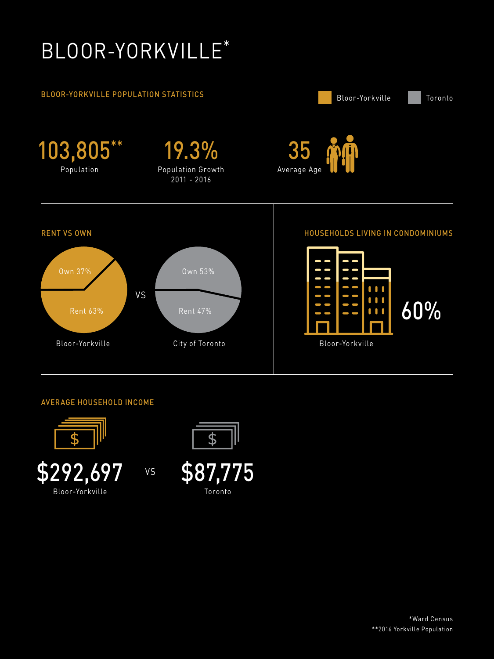## BLOOR-YORKVILLE\*

### BLOOR-YORKVILLE POPULATION STATISTICS



### AVERAGE HOUSEHOLD INCOME



Bloor-Yorkville



\$87,775 Toronto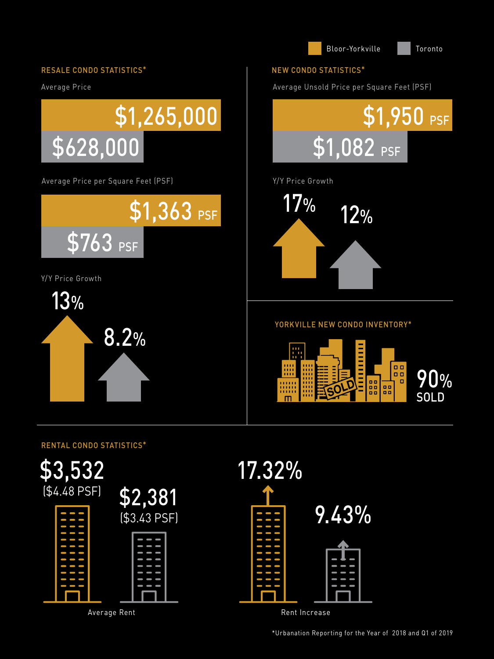

## RENTAL CONDO STATISTICS\*



\*Urbanation Reporting for the Year of 2018 and Q1 of 2019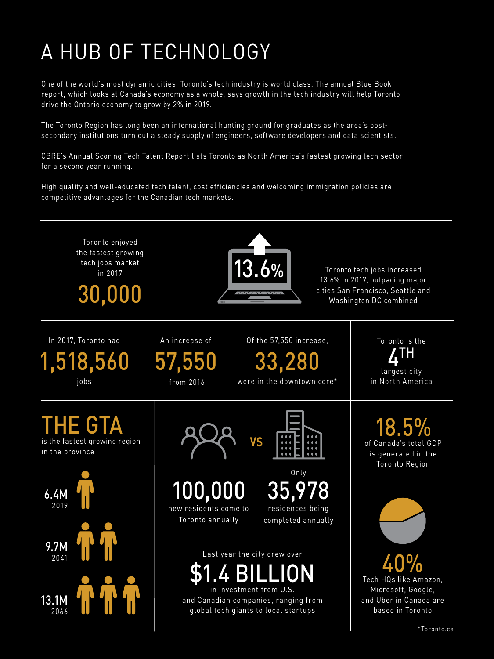# A HUB OF TECHNOLOGY

One of the world's most dynamic cities, Toronto's tech industry is world class. The annual Blue Book report, which looks at Canada's economy as a whole, says growth in the tech industry will help Toronto drive the Ontario economy to grow by 2% in 2019.

The Toronto Region has long been an international hunting ground for graduates as the area's postsecondary institutions turn out a steady supply of engineers, software developers and data scientists.

CBRE's Annual Scoring Tech Talent Report lists Toronto as North America's fastest growing tech sector for a second year running.

High quality and well-educated tech talent, cost efficiencies and welcoming immigration policies are competitive advantages for the Canadian tech markets.

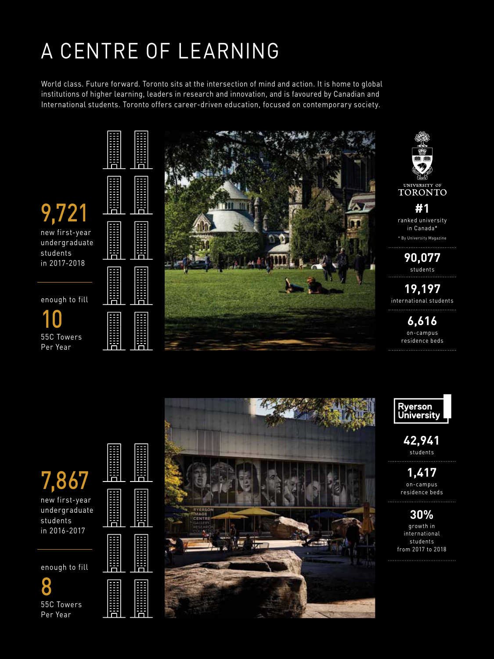# A CENTRE OF LEARNING

World class. Future forward. Toronto sits at the intersection of mind and action. It is home to global institutions of higher learning, leaders in research and innovation, and is favoured by Canadian and International students. Toronto offers career-driven education, focused on contemporary society.





Per Year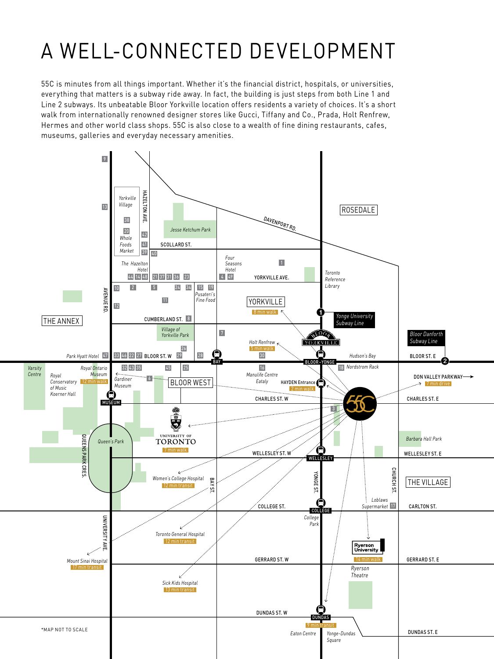# A WELL-CONNECTED DEVELOPMENT

55C is minutes from all things important. Whether it's the financial district, hospitals, or universities, everything that matters is a subway ride away. In fact, the building is just steps from both Line 1 and Line 2 subways. Its unbeatable Bloor Yorkville location offers residents a variety of choices. It's a short walk from internationally renowned designer stores like Gucci, Tiffany and Co., Prada, Holt Renfrew, Hermes and other world class shops. 55C is also close to a wealth of fine dining restaurants, cafes, museums, galleries and everyday necessary amenities.

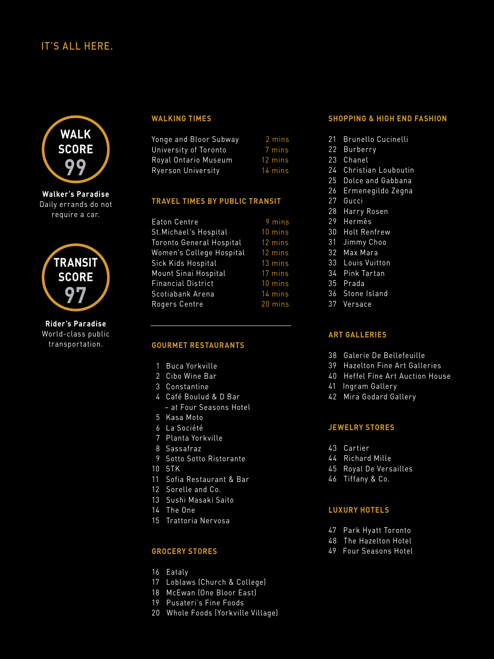## IT'S ALL HERE.



Daily errands do not require a car.



**Rider's Paradise** World-class public transportation.

### **WALKING TIMES**

| Yonge and Bloor Subway | 2 mins  |
|------------------------|---------|
| University of Toronto  | 7 mins  |
| Royal Ontario Museum   | 12 mins |
| Ryerson University     | 14 mins |

### **TRAVEL TIMES BY PUBLIC TRANSIT**

| Eaton Centre              | 9 mins            |
|---------------------------|-------------------|
| St. Michael's Hospital    | 10 mins           |
| Toronto General Hospital  | 12 mins           |
| Women's College Hospital  | $12 \text{ mins}$ |
| Sick Kids Hospital        | 13 mins           |
| Mount Sinai Hospital      | 17 mins           |
| <b>Financial District</b> | 10 mins           |
| Scotiabank Arena          | 14 mins           |
| Rogers Centre             | 20 mins           |

### **GOURMET RESTAURANTS**

- 1 Buca Yorkville
- 2 Cibo Wine Bar
- 3 Constantine
- 4 Café Boulud & D Bar
- at Four Seasons Hotel
- 5 Kasa Moto
- 6 La Société
- 7 Planta Yorkville
- 8 Sassafraz
- 9 Sotto Sotto Ristorante
- 10 STK
- 11 Sofia Restaurant & Bar
- 12 Sorelle and Co.
- 13 Sushi Masaki Saito
- 14 The One
- 15 Trattoria Nervosa

### **GROCERY STORES**

- 16 Eataly
- 17 Loblaws (Church & College)
- 18 McEwan (One Bloor East)
- 19 Pusateri's Fine Foods
- 20 Whole Foods (Yorkville Village)

### **SHOPPING & HIGH END FASHION**

- 21 Brunello Cucinelli
- 22 Burberry
- 23 Chanel
- 24 Christian Louboutin
- 25 Dolce and Gabbana
- 26 Ermenegildo Zegna
- 27 Gucci
- 28 Harry Rosen
- 29 Hermès
- 30 Holt Renfrew
- 31 Jimmy Choo
- 32 Max Mara
- 33 Louis Vuitton
- 34 Pink Tartan
- 35 Prada
- 36 Stone Island
- 37 Versace

### **ART GALLERIES**

- 38 Galerie De Bellefeuille
- 39 Hazelton Fine Art Galleries
- 40 Heffel Fine Art Auction House
- 41 Ingram Gallery
- 42 Mira Godard Gallery

#### **JEWELRY STORES**

- 43 Cartier
- 44 Richard Mille
- 45 Royal De Versailles
- 46 Tiffany & Co.

### **LUXURY HOTELS**

- 47 Park Hyatt Toronto
- 48 The Hazelton Hotel
- 49 Four Seasons Hotel
- -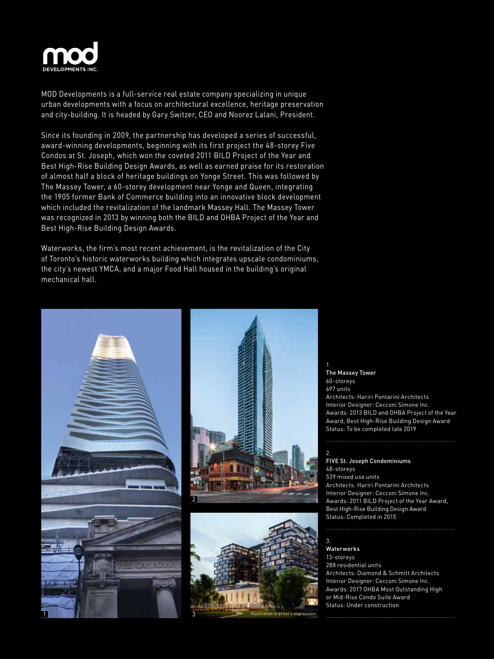

MOD Developments is a full-service real estate company specializing in unique urban developments with a focus on architectural excellence, heritage preservation and city-building. It is headed by Gary Switzer, CEO and Noorez Lalani, President.

Since its founding in 2009, the partnership has developed a series of successful, award-winning developments, beginning with its first project the 48-storey Five Condos at St. Joseph, which won the coveted 2011 BILD Project of the Year and Best High-Rise Building Design Awards, as well as earned praise for its restoration of almost half a block of heritage buildings on Yonge Street. This was followed by The Massey Tower, a 60-storey development near Yonge and Queen, integrating the 1905 former Bank of Commerce building into an innovative block development which included the revitalization of the landmark Massey Hall. The Massey Tower was recognized in 2013 by winning both the BILD and OHBA Project of the Year and Best High-Rise Building Design Awards.

Waterworks, the firm's most recent achievement, is the revitalization of the City of Toronto's historic waterworks building which integrates upscale condominiums, the city's newest YMCA, and a major Food Hall housed in the building's original mechanical hall.







The Massey Tower 60-storeys 697 units Architects: Hariri Pontarini Architects Interior Designer: Cecconi Simone Inc. Awards: 2013 BILD and OHBA Project of the Year Award, Best High-Rise Building Design Award Status: To be completed late 2019

#### 2. FIVE St. Joseph Condominiums 48-storeys 539 mixed use units Architects: Hariri Pontarini Architects Interior Designer: Cecconi Simone Inc. Awards: 2011 BILD Project of the Year Award, Best High-Rise Building Design Award Status: Completed in 2015

Waterworks 13-storeys 288 residential units Architects: Diamond & Schmitt Architects Interior Designer: Cecconi Simone Inc. Awards: 2017 OHBA Most Outstanding High or Mid-Rise Condo Suite Award Status: Under construction

3.